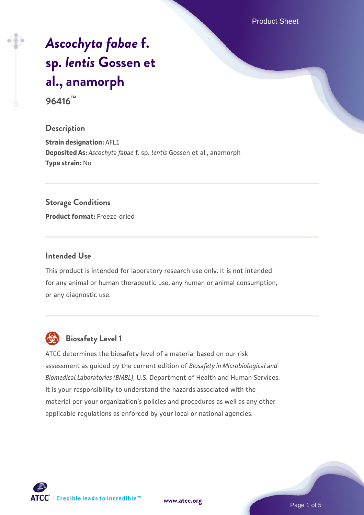Product Sheet

# *[Ascochyta fabae](https://www.atcc.org/products/96416)* **[f.](https://www.atcc.org/products/96416) [sp.](https://www.atcc.org/products/96416)** *[lentis](https://www.atcc.org/products/96416)* **[Gossen et](https://www.atcc.org/products/96416) [al., anamorph](https://www.atcc.org/products/96416)**

**96416™**

#### **Description**

**Strain designation:** AFL1 **Deposited As:** *Ascochyta fabae* f. sp. *lentis* Gossen et al., anamorph **Type strain:** No

#### **Storage Conditions**

**Product format:** Freeze-dried

#### **Intended Use**

This product is intended for laboratory research use only. It is not intended for any animal or human therapeutic use, any human or animal consumption, or any diagnostic use.



# **Biosafety Level 1**

ATCC determines the biosafety level of a material based on our risk assessment as guided by the current edition of *Biosafety in Microbiological and Biomedical Laboratories (BMBL)*, U.S. Department of Health and Human Services. It is your responsibility to understand the hazards associated with the material per your organization's policies and procedures as well as any other applicable regulations as enforced by your local or national agencies.

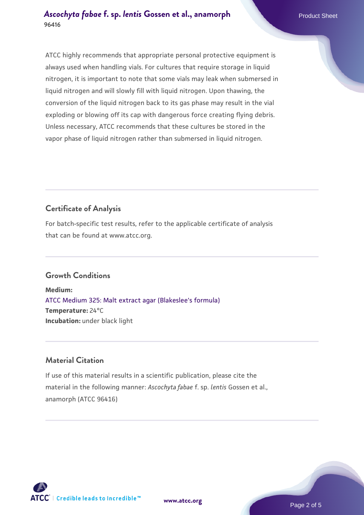ATCC highly recommends that appropriate personal protective equipment is always used when handling vials. For cultures that require storage in liquid nitrogen, it is important to note that some vials may leak when submersed in liquid nitrogen and will slowly fill with liquid nitrogen. Upon thawing, the conversion of the liquid nitrogen back to its gas phase may result in the vial exploding or blowing off its cap with dangerous force creating flying debris. Unless necessary, ATCC recommends that these cultures be stored in the vapor phase of liquid nitrogen rather than submersed in liquid nitrogen.

# **Certificate of Analysis**

For batch-specific test results, refer to the applicable certificate of analysis that can be found at www.atcc.org.

# **Growth Conditions**

**Medium:**  [ATCC Medium 325: Malt extract agar \(Blakeslee's formula\)](https://www.atcc.org/-/media/product-assets/documents/microbial-media-formulations/3/2/5/atcc-medium-325.pdf?rev=146ec77015184a96912232dcb12386f9) **Temperature:** 24°C **Incubation:** under black light

# **Material Citation**

If use of this material results in a scientific publication, please cite the material in the following manner: *Ascochyta fabae* f. sp. *lentis* Gossen et al., anamorph (ATCC 96416)

**[www.atcc.org](http://www.atcc.org)**



Page 2 of 5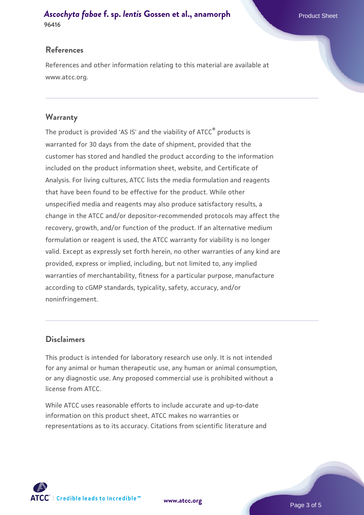#### **[Ascochyta fabae](https://www.atcc.org/products/96416) [f. sp.](https://www.atcc.org/products/96416) [lentis](https://www.atcc.org/products/96416) [Gossen et al., anamorph](https://www.atcc.org/products/96416)** Product Sheet **96416**

### **References**

References and other information relating to this material are available at www.atcc.org.

### **Warranty**

The product is provided 'AS IS' and the viability of ATCC® products is warranted for 30 days from the date of shipment, provided that the customer has stored and handled the product according to the information included on the product information sheet, website, and Certificate of Analysis. For living cultures, ATCC lists the media formulation and reagents that have been found to be effective for the product. While other unspecified media and reagents may also produce satisfactory results, a change in the ATCC and/or depositor-recommended protocols may affect the recovery, growth, and/or function of the product. If an alternative medium formulation or reagent is used, the ATCC warranty for viability is no longer valid. Except as expressly set forth herein, no other warranties of any kind are provided, express or implied, including, but not limited to, any implied warranties of merchantability, fitness for a particular purpose, manufacture according to cGMP standards, typicality, safety, accuracy, and/or noninfringement.

#### **Disclaimers**

This product is intended for laboratory research use only. It is not intended for any animal or human therapeutic use, any human or animal consumption, or any diagnostic use. Any proposed commercial use is prohibited without a license from ATCC.

While ATCC uses reasonable efforts to include accurate and up-to-date information on this product sheet, ATCC makes no warranties or representations as to its accuracy. Citations from scientific literature and

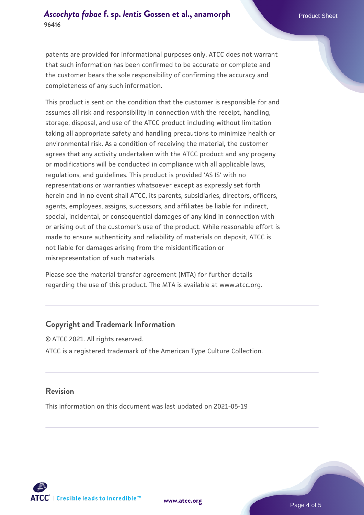# **[Ascochyta fabae](https://www.atcc.org/products/96416) [f. sp.](https://www.atcc.org/products/96416) [lentis](https://www.atcc.org/products/96416) [Gossen et al., anamorph](https://www.atcc.org/products/96416)** Product Sheet **96416**

patents are provided for informational purposes only. ATCC does not warrant that such information has been confirmed to be accurate or complete and the customer bears the sole responsibility of confirming the accuracy and completeness of any such information.

This product is sent on the condition that the customer is responsible for and assumes all risk and responsibility in connection with the receipt, handling, storage, disposal, and use of the ATCC product including without limitation taking all appropriate safety and handling precautions to minimize health or environmental risk. As a condition of receiving the material, the customer agrees that any activity undertaken with the ATCC product and any progeny or modifications will be conducted in compliance with all applicable laws, regulations, and guidelines. This product is provided 'AS IS' with no representations or warranties whatsoever except as expressly set forth herein and in no event shall ATCC, its parents, subsidiaries, directors, officers, agents, employees, assigns, successors, and affiliates be liable for indirect, special, incidental, or consequential damages of any kind in connection with or arising out of the customer's use of the product. While reasonable effort is made to ensure authenticity and reliability of materials on deposit, ATCC is not liable for damages arising from the misidentification or misrepresentation of such materials.

Please see the material transfer agreement (MTA) for further details regarding the use of this product. The MTA is available at www.atcc.org.

#### **Copyright and Trademark Information**

© ATCC 2021. All rights reserved. ATCC is a registered trademark of the American Type Culture Collection.

#### **Revision**

This information on this document was last updated on 2021-05-19



**[www.atcc.org](http://www.atcc.org)**

Page 4 of 5